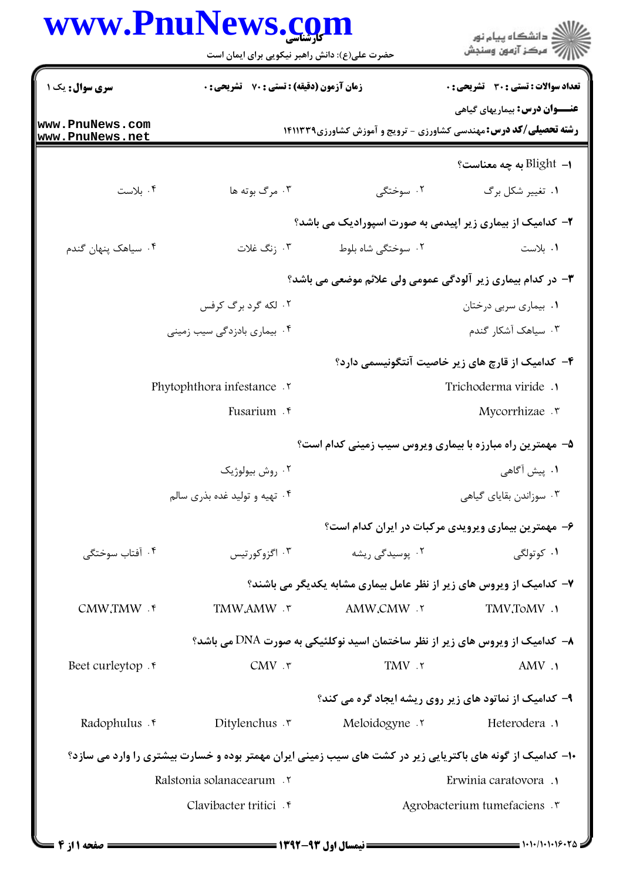| www.PnuNews.com                    | حضرت علی(ع): دانش راهبر نیکویی برای ایمان است                                                              |                                                                              | ≦ دانشڪاه پيام نور<br>7 مرڪز آزمون وسنڊش            |
|------------------------------------|------------------------------------------------------------------------------------------------------------|------------------------------------------------------------------------------|-----------------------------------------------------|
| <b>سری سوال :</b> یک ۱             | زمان آزمون (دقیقه) : تستی : 70 گشریحی : 0                                                                  |                                                                              | تعداد سوالات : تستى : 30 - تشريحي : 0               |
| www.PnuNews.com<br>www.PnuNews.net |                                                                                                            | <b>رشته تحصیلی/کد درس:</b> مهندسی کشاورزی - ترویج و آموزش کشاورزی14۱۱۳۳۹     | <b>عنـــوان درس:</b> بیماریهای گیاهی                |
|                                    |                                                                                                            |                                                                              | ا–  Blight به چه معناست؟                            |
| ۰۴ بلاست                           | ۰۳ مرگ بوته ها                                                                                             | ۲. سوختگی                                                                    | ۰۱ تغییر شکل برگ                                    |
|                                    |                                                                                                            | ۲- کدامیک از بیماری زیر اپیدمی به صورت اسپورادیک می باشد؟                    |                                                     |
| ۰۴ سیاهک پنهان گندم                | ۰۳ زنگ غلات                                                                                                | ۲. سوختگی شاه بلوط                                                           | ٠١. بلاست                                           |
|                                    |                                                                                                            | <b>۳</b> - در کدام بیماری زیر آلودگی عمومی ولی علائم موضعی می باشد؟          |                                                     |
|                                    | ۲. لکه گرد برگ کرفس                                                                                        |                                                                              | ۰۱ بیماری سربی درختان                               |
|                                    | ۰۴ بیماری بادزدگی سیب زمینی                                                                                |                                                                              | ۰۳ سیاهک آشکار گندم                                 |
|                                    |                                                                                                            |                                                                              | ۴– کدامیک از قارچ های زیر خاصیت آنتگونیسمی دارد؟    |
|                                    | Phytophthora infestance .v                                                                                 | Trichoderma viride.                                                          |                                                     |
|                                    | Fusarium . r                                                                                               |                                                                              | Mycorrhizae . v                                     |
|                                    |                                                                                                            | ۵- مهمترین راه مبارزه با بیماری ویروس سیب زمینی کدام است؟                    |                                                     |
|                                    | ۰۲ روش بیولوژیک                                                                                            |                                                                              | ۰۱ پیش آگاهی                                        |
|                                    | ۰۴ تهیه و تولید غده بذری سالم                                                                              |                                                                              | ۰۳ سوزاندن بقایای گیاهی                             |
|                                    |                                                                                                            |                                                                              | ۶- مهمترین بیماری ویرویدی مرکبات در ایران کدام است؟ |
| ۰۴ آفتاب سوختگی                    | ۰۳ اگزوکورتیس                                                                                              | ۰۲ یوسیدگ <i>ی</i> ریشه                                                      | ۰۱ کوتولگی                                          |
|                                    |                                                                                                            | ۷- کدامیک از ویروس های زیر از نظر عامل بیماری مشابه یکدیگر می باشند؟         |                                                     |
| CMW.TMW . ۴                        | TMW,AMW . ٣                                                                                                | AMW,CMW .٢                                                                   | TMV,ToMV .1                                         |
|                                    |                                                                                                            | ۸− کدامیک از ویروس های زیر از نظر ساختمان اسید نوکلئیکی به صورت DNA می باشد؟ |                                                     |
| Beet curleytop.                    | $CMV$ . $\mathbf{r}$                                                                                       | TMV .٢                                                                       | AMV.                                                |
|                                    |                                                                                                            | ۹- کدامیک از نماتود های زیر روی ریشه ایجاد گره می کند؟                       |                                                     |
| Radophulus . e                     | Ditylenchus $\cdot$                                                                                        | Meloidogyne .v                                                               | Heterodera .                                        |
|                                    | ۱۰− کدامیک از گونه های باکتریایی زیر در کشت های سیب زمینی ایران مهمتر بوده و خسارت بیشتری را وارد می سازد؟ |                                                                              |                                                     |
|                                    | Ralstonia solanacearum . ٢                                                                                 |                                                                              | Erwinia caratovora .                                |
|                                    | Clavibacter tritici . r                                                                                    |                                                                              | Agrobacterium tumefaciens .                         |
|                                    |                                                                                                            |                                                                              |                                                     |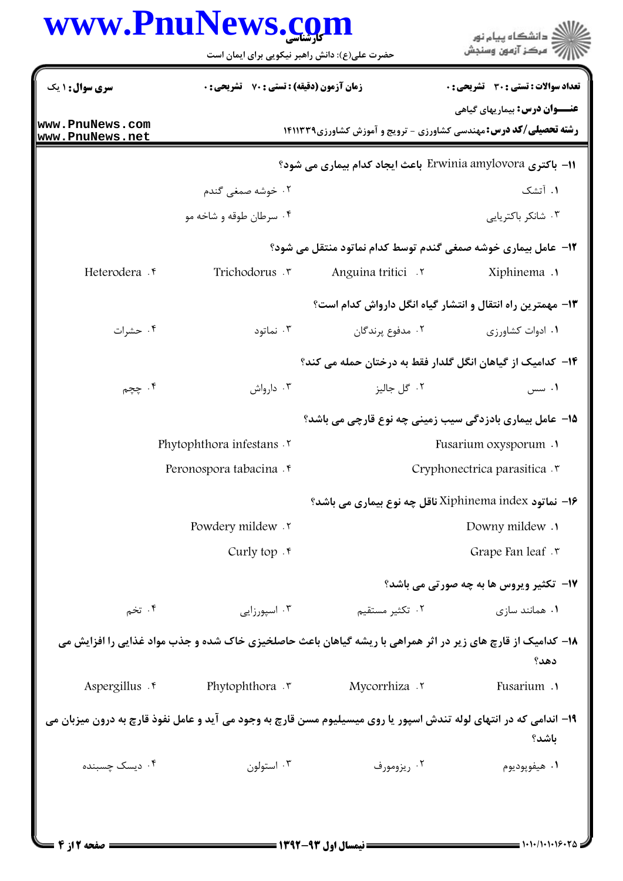## www.PnuNews.com

| www.PnuNews.com                    | حضرت علی(ع): دانش راهبر نیکویی برای ایمان است      |                   | ان دانشگاه پيام نور<br>اگر مرکز آزمون وسنجش                                                                                 |  |
|------------------------------------|----------------------------------------------------|-------------------|-----------------------------------------------------------------------------------------------------------------------------|--|
| <b>سری سوال :</b> ۱ یک             | <b>زمان آزمون (دقیقه) : تستی : 70 ٪ تشریحی : 0</b> |                   | تعداد سوالات : تستى : 30 - تشريحي : 0                                                                                       |  |
| www.PnuNews.com<br>www.PnuNews.net |                                                    |                   | <b>عنـــوان درس:</b> بیماریهای گیاهی<br><b>رشته تحصیلی/کد درس:</b> مهندسی کشاورزی - ترویج و آموزش کشاورزی14۱۱۳۳۹            |  |
|                                    |                                                    |                   | 11- باكترى Erwinia amylovora باعث ايجاد كدام بيماري مي شود؟                                                                 |  |
|                                    | ۰۲ خوشه صمغ <sub>ی</sub> گندم                      |                   | ۰۱ آتشک                                                                                                                     |  |
|                                    | ۰۴ سرطان طوقه و شاخه مو                            |                   | ۰۳ شانکر باکتریایی                                                                                                          |  |
|                                    |                                                    |                   | <b>۱۲</b> - عامل بیماری خوشه صمغی گندم توسط کدام نماتود منتقل می شود؟                                                       |  |
| Heterodera .r                      | Trichodorus .v                                     | Anguina tritici . | 1. Xiphinema                                                                                                                |  |
|                                    |                                                    |                   | ۱۳- مهمترین راه انتقال و انتشار گیاه انگل دارواش کدام است؟                                                                  |  |
| ۰۴ حشرات                           | ۰۳ نماتود                                          | ٢. مدفوع پرندگان  | ۰۱ ادوات کشاورزی                                                                                                            |  |
|                                    |                                                    |                   | ۱۴– کدامیک از گیاهان انگل گلدار فقط به درختان حمله می کند؟                                                                  |  |
| ۰۴ چچم                             | ۰۳ دارواش                                          | ۰۲ گل جاليز       | ۰۱ سس                                                                                                                       |  |
|                                    |                                                    |                   | 1۵– عامل بیماری بادزدگی سیب زمینی چه نوع قارچی می باشد؟                                                                     |  |
|                                    | Phytophthora infestans .Y                          |                   | <b>Fusarium oxysporum</b> .                                                                                                 |  |
|                                    | Peronospora tabacina f                             |                   | Cryphonectrica parasitica .r                                                                                                |  |
|                                    |                                                    |                   | ا– نماتود Xiphinema index ناقل چه نوع بیماری می باشد؟                                                                       |  |
|                                    | Powdery mildew .                                   |                   | Downy mildew .                                                                                                              |  |
|                                    | Curly top $\cdot$                                  |                   | Grape Fan leaf . ٣                                                                                                          |  |
|                                    |                                                    |                   | 17- تکثیر ویروس ها به چه صورتی می باشد؟                                                                                     |  |
| ۰۴ تخم                             | ۰۳ اسپورزایی                                       | ۰۲ تکثیر مستقیم   | ۰۱ همانند سازی                                                                                                              |  |
|                                    |                                                    |                   | ۱۸– کدامیک از قارچ های زیر در اثر همراهی با ریشه گیاهان باعث حاصلخیزی خاک شده و جذب مواد غذایی را افزایش می<br>دهد؟         |  |
| Aspergillus . r                    | Phytophthora $\cdot$                               | Mycorrhiza .      | Fusarium .                                                                                                                  |  |
|                                    |                                                    |                   | ۱۹- اندامی که در انتهای لوله تندش اسپور یا روی میسیلیوم مسن قارچ به وجود می آید و عامل نفوذ قارچ به درون میزبان می<br>ياشد؟ |  |
| ۰۴ دیسک چسبنده                     | ۰۳ استولون                                         | ۰۲ ریزومورف       | ۰۱ هیفویودیوم                                                                                                               |  |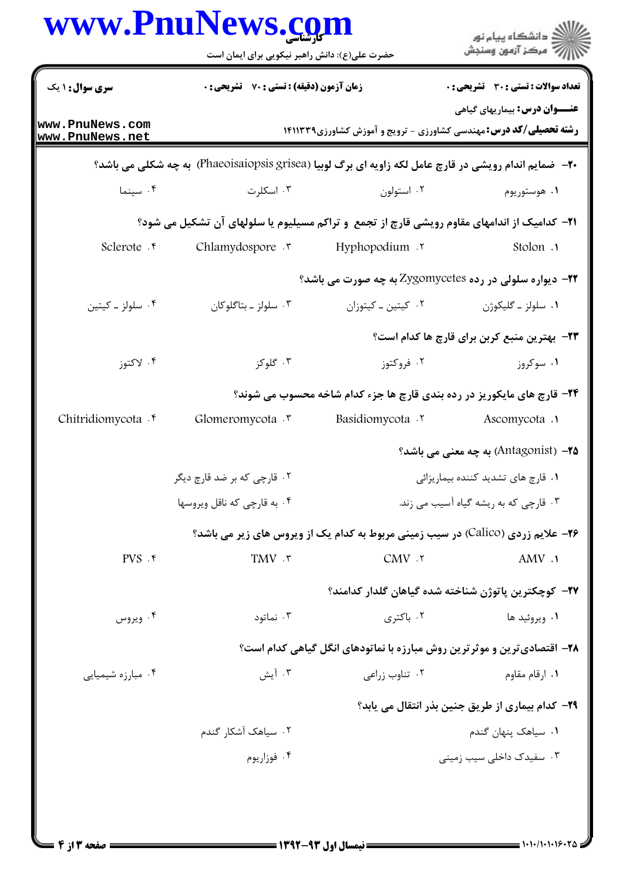|                                    | حضرت علی(ع): دانش راهبر نیکویی برای ایمان است                                                                 |                    | ر دانشڪاه پيام نور<br>اڳ مرڪز آزمون وسنڊش                                                                        |
|------------------------------------|---------------------------------------------------------------------------------------------------------------|--------------------|------------------------------------------------------------------------------------------------------------------|
| سری سوال: ۱ یک                     | <b>زمان آزمون (دقیقه) : تستی : 70 ٪ تشریحی : 0</b>                                                            |                    | <b>تعداد سوالات : تستی : 30 ٪ تشریحی : 0</b>                                                                     |
| www.PnuNews.com<br>www.PnuNews.net |                                                                                                               |                    | <b>عنـــوان درس:</b> بیماریهای گیاهی<br><b>رشته تحصیلی/کد درس:</b> مهندسی کشاورزی - ترویج و آموزش کشاورزی1۴۱۱۳۳۹ |
|                                    | <b>۲۰</b> - ضمایم اندام رویشی در قارچ عامل لکه زاویه ای برگ لوبیا (Phaeoisaiopsis grisea) به چه شکلی می باشد؟ |                    |                                                                                                                  |
| ۰۴ سينما                           | ۰۳ اسکلرت                                                                                                     | ۰۲ استولون         | ۰۱ هوستوريوم                                                                                                     |
|                                    | <b>۲۱</b> - کدامیک از اندامهای مقاوم رویشی قارچ از تجمع و تراکم مسیلیوم یا سلولهای آن تشکیل می شود؟           |                    |                                                                                                                  |
| Sclerote . e                       | Chlamydospore .                                                                                               | ۲. Hyphopodium     | Stolon .                                                                                                         |
|                                    |                                                                                                               |                    | <b>۲۲- دیواره سلولی در رده Zygomycetes به چه صورت می باشد؟</b>                                                   |
| ۰۴ سلولز ـ کیتین                   | ۰۳ سلولز ـ بتاگلوکان                                                                                          | ٠٢ كيتين ـ كيتوزان | ۰۱ سلولز ـ گليکوژن                                                                                               |
|                                    |                                                                                                               |                    | <b>۲۳</b> - بهترین منبع کربن برای قارچ ها کدام است؟                                                              |
| ۰۴ لاکتوز                          | ۰۳ گلوکز                                                                                                      | ۰۲ فروکتوز         | ۰۱ سوکروز                                                                                                        |
|                                    |                                                                                                               |                    | <b>34- قارچ های مایکوریز در رده بندی قارچ ها جزء کدام شاخه محسوب می شوند؟</b>                                    |
| Chitridiomycota . r                | Glomeromycota . ٣                                                                                             | Basidiomycota .    | Ascomycota .1                                                                                                    |
|                                    |                                                                                                               |                    | <b>4۵</b> – (Antagonist) به چه معنی می باشد؟                                                                     |
|                                    | ۰۲ قارچی که بر ضد قارچ دیگر                                                                                   |                    | ٠١ قارچ های تشدید کننده بیماریزائی                                                                               |
|                                    | ۰۴ به قارچی که ناقل ویروسها                                                                                   |                    | ۰۳ قارچی که به ریشه گیاه آسیب می زند.                                                                            |
|                                    |                                                                                                               |                    | <b>۲۶</b> - علایم زردی (Calico) در سیب زمینی مربوط به کدام یک از ویروس های زیر می باشد؟                          |
| $PVS$ . ۴                          | TMV . ٣                                                                                                       | CMV.7              | AMV .                                                                                                            |
|                                    |                                                                                                               |                    | ٢٧– كوچكترين پاتوژن شناخته شده گياهان گلدار كدامند؟                                                              |
| ۰۴ ویروس                           | ۰۳ نماتود                                                                                                     | ۰۲ باکتری          | ۰۱ ویروئید ها                                                                                                    |
|                                    |                                                                                                               |                    | ۲۸- اقتصادیترین و موثرترین روش مبارزه با نماتودهای انگل گیاهی کدام است؟                                          |
| ۰۴ مبارزه شیمیایی                  | ۰۳ آیش                                                                                                        | ۰۲ تناوب زراعی     | ۰۱ ارقام مقاوم                                                                                                   |
|                                    |                                                                                                               |                    | <b>۲۹</b> – کدام بیماری از طریق جنین بذر انتقال می یابد؟                                                         |
|                                    | ۰۲ سیاهک آشکار گندم                                                                                           |                    | ٠١. سياهک پنهان گندم                                                                                             |
|                                    | ۰۴ فوزاريوم                                                                                                   |                    | ۰۳ سفیدک داخلی سیب زمینی                                                                                         |